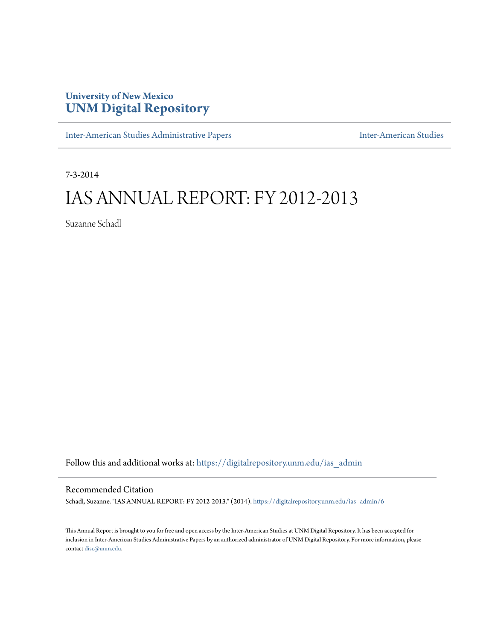## **University of New Mexico [UNM Digital Repository](https://digitalrepository.unm.edu?utm_source=digitalrepository.unm.edu%2Fias_admin%2F6&utm_medium=PDF&utm_campaign=PDFCoverPages)**

[Inter-American Studies Administrative Papers](https://digitalrepository.unm.edu/ias_admin?utm_source=digitalrepository.unm.edu%2Fias_admin%2F6&utm_medium=PDF&utm_campaign=PDFCoverPages) **[Inter-American Studies](https://digitalrepository.unm.edu/ias?utm_source=digitalrepository.unm.edu%2Fias_admin%2F6&utm_medium=PDF&utm_campaign=PDFCoverPages)** Inter-American Studies

7-3-2014

# IAS ANNUAL REPORT: FY 2012-2013

Suzanne Schadl

Follow this and additional works at: [https://digitalrepository.unm.edu/ias\\_admin](https://digitalrepository.unm.edu/ias_admin?utm_source=digitalrepository.unm.edu%2Fias_admin%2F6&utm_medium=PDF&utm_campaign=PDFCoverPages)

#### Recommended Citation

Schadl, Suzanne. "IAS ANNUAL REPORT: FY 2012-2013." (2014). [https://digitalrepository.unm.edu/ias\\_admin/6](https://digitalrepository.unm.edu/ias_admin/6?utm_source=digitalrepository.unm.edu%2Fias_admin%2F6&utm_medium=PDF&utm_campaign=PDFCoverPages)

This Annual Report is brought to you for free and open access by the Inter-American Studies at UNM Digital Repository. It has been accepted for inclusion in Inter-American Studies Administrative Papers by an authorized administrator of UNM Digital Repository. For more information, please contact [disc@unm.edu.](mailto:disc@unm.edu)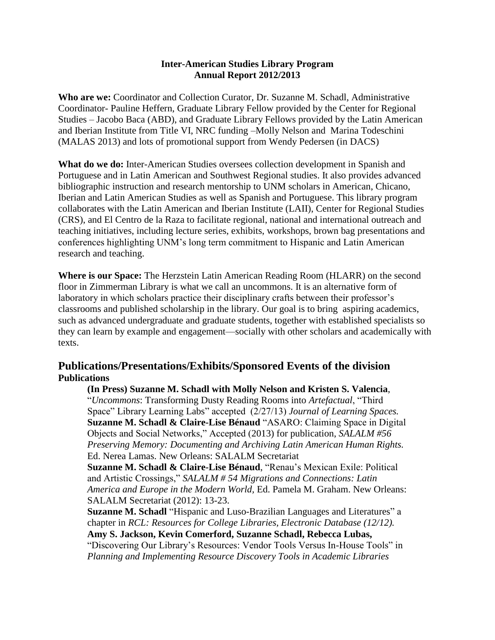#### **Inter-American Studies Library Program Annual Report 2012/2013**

**Who are we:** Coordinator and Collection Curator, Dr. Suzanne M. Schadl, Administrative Coordinator- Pauline Heffern, Graduate Library Fellow provided by the Center for Regional Studies – Jacobo Baca (ABD), and Graduate Library Fellows provided by the Latin American and Iberian Institute from Title VI, NRC funding –Molly Nelson and Marina Todeschini (MALAS 2013) and lots of promotional support from Wendy Pedersen (in DACS)

**What do we do:** Inter-American Studies oversees collection development in Spanish and Portuguese and in Latin American and Southwest Regional studies. It also provides advanced bibliographic instruction and research mentorship to UNM scholars in American, Chicano, Iberian and Latin American Studies as well as Spanish and Portuguese. This library program collaborates with the Latin American and Iberian Institute (LAII), Center for Regional Studies (CRS), and El Centro de la Raza to facilitate regional, national and international outreach and teaching initiatives, including lecture series, exhibits, workshops, brown bag presentations and conferences highlighting UNM's long term commitment to Hispanic and Latin American research and teaching.

**Where is our Space:** The Herzstein Latin American Reading Room (HLARR) on the second floor in Zimmerman Library is what we call an uncommons. It is an alternative form of laboratory in which scholars practice their disciplinary crafts between their professor's classrooms and published scholarship in the library. Our goal is to bring aspiring academics, such as advanced undergraduate and graduate students, together with established specialists so they can learn by example and engagement—socially with other scholars and academically with texts.

### **Publications/Presentations/Exhibits/Sponsored Events of the division Publications**

**(In Press) Suzanne M. Schadl with Molly Nelson and Kristen S. Valencia**, "*Uncommons*: Transforming Dusty Reading Rooms into *Artefactual*, "Third Space" Library Learning Labs" accepted (2/27/13) *Journal of Learning Spaces.* **Suzanne M. Schadl & Claire-Lise Bénaud** "ASARO: Claiming Space in Digital Objects and Social Networks," Accepted (2013) for publication, *SALALM #56 Preserving Memory: Documenting and Archiving Latin American Human Rights.*  Ed. Nerea Lamas. New Orleans: SALALM Secretariat

**Suzanne M. Schadl & Claire-Lise Bénaud**, "Renau's Mexican Exile: Political and Artistic Crossings," *SALALM # 54 Migrations and Connections: Latin America and Europe in the Modern World,* Ed. Pamela M. Graham. New Orleans: SALALM Secretariat (2012): 13-23.

**Suzanne M. Schadl** "Hispanic and Luso-Brazilian Languages and Literatures" a chapter in *RCL: Resources for College Libraries, Electronic Database (12/12).* **Amy S. Jackson, Kevin Comerford, Suzanne Schadl, Rebecca Lubas,** "Discovering Our Library's Resources: Vendor Tools Versus In-House Tools" in *Planning and Implementing Resource Discovery Tools in Academic Libraries*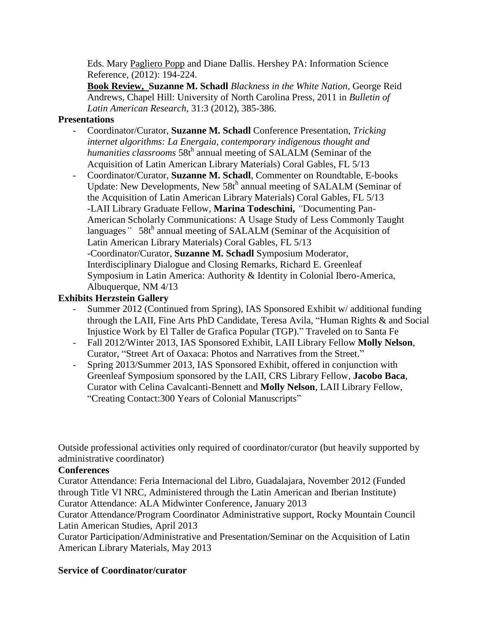Eds. Mary [Pagliero Popp](http://www.amazon.com/s/ref=ntt_athr_dp_sr_1?_encoding=UTF8&sort=relevancerank&search-alias=books&ie=UTF8&field-author=Mary%20Pagliero%20Popp) and Diane Dallis. Hershey PA: Information Science Reference, (2012): 194-224.

**Book Review, Suzanne M. Schadl** *Blackness in the White Nation,* George Reid Andrews, Chapel Hill: University of North Carolina Press, 2011 in *Bulletin of Latin American Research*, 31:3 (2012), 385-386.

#### **Presentations**

- Coordinator/Curator, **Suzanne M. Schadl** Conference Presentation, *Tricking internet algorithms: La Energaia, contemporary indigenous thought and*  humanities classrooms 58th annual meeting of SALALM (Seminar of the Acquisition of Latin American Library Materials) Coral Gables, FL 5/13
- Coordinator/Curator, **Suzanne M. Schadl**, Commenter on Roundtable, E-books Update: New Developments, New  $58t^h$  annual meeting of SALALM (Seminar of the Acquisition of Latin American Library Materials) Coral Gables, FL 5/13 -LAII Library Graduate Fellow, **Marina Todeschini,** *"*Documenting Pan-American Scholarly Communications: A Usage Study of Less Commonly Taught languages<sup>"</sup> 58th annual meeting of SALALM (Seminar of the Acquisition of Latin American Library Materials) Coral Gables, FL 5/13 -Coordinator/Curator, **Suzanne M. Schadl** Symposium Moderator, Interdisciplinary Dialogue and Closing Remarks, Richard E. Greenleaf Symposium in Latin America: Authority & Identity in Colonial Ibero-America, Albuquerque, NM 4/13

#### **Exhibits Herzstein Gallery**

- Summer 2012 (Continued from Spring), IAS Sponsored Exhibit w/ additional funding through the LAII, Fine Arts PhD Candidate, Teresa Avila, "Human Rights & and Social Injustice Work by El Taller de Grafica Popular (TGP)." Traveled on to Santa Fe
- Fall 2012/Winter 2013, IAS Sponsored Exhibit, LAII Library Fellow **Molly Nelson**, Curator, "Street Art of Oaxaca: Photos and Narratives from the Street."
- Spring 2013/Summer 2013, IAS Sponsored Exhibit, offered in conjunction with Greenleaf Symposium sponsored by the LAII, CRS Library Fellow, **Jacobo Baca**, Curator with Celina Cavalcanti-Bennett and **Molly Nelson**, LAII Library Fellow, "Creating Contact:300 Years of Colonial Manuscripts"

Outside professional activities only required of coordinator/curator (but heavily supported by administrative coordinator)

#### **Conferences**

Curator Attendance: Feria Internacional del Libro, Guadalajara, November 2012 (Funded through Title VI NRC, Administered through the Latin American and Iberian Institute) Curator Attendance: ALA Midwinter Conference, January 2013

Curator Attendance/Program Coordinator Administrative support, Rocky Mountain Council Latin American Studies, April 2013

Curator Participation/Administrative and Presentation/Seminar on the Acquisition of Latin American Library Materials, May 2013

#### **Service of Coordinator/curator**